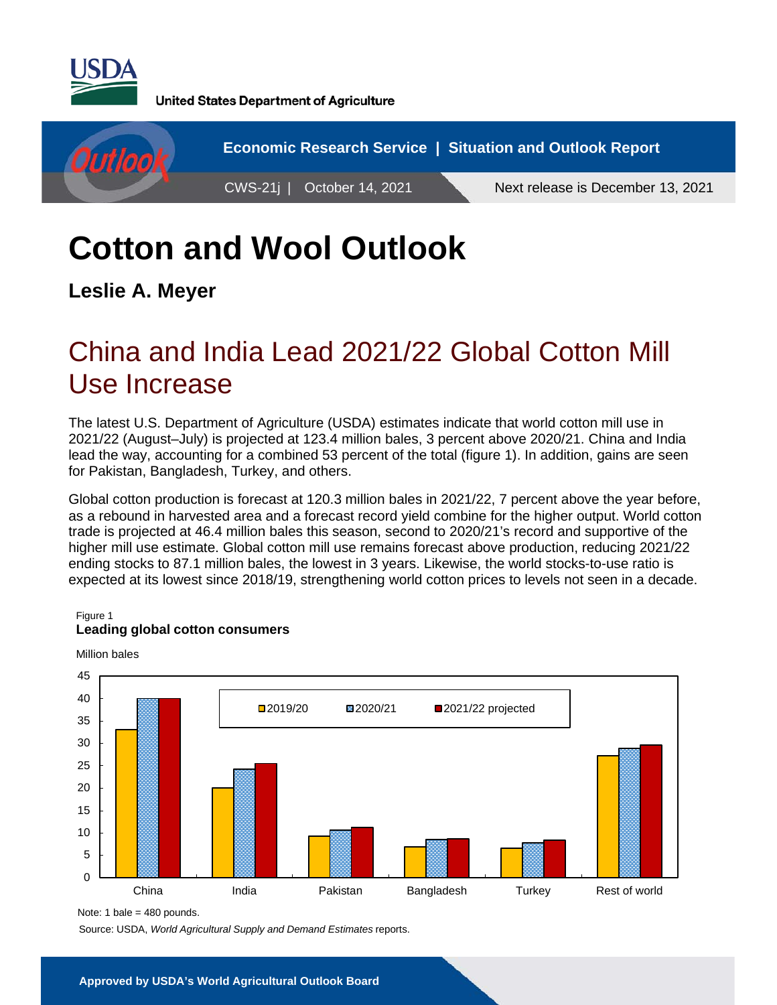

**United States Department of Agriculture** 



# **Cotton and Wool Outlook**

**Leslie A. Meyer** 

## China and India Lead 2021/22 Global Cotton Mill Use Increase

The latest U.S. Department of Agriculture (USDA) estimates indicate that world cotton mill use in 2021/22 (August–July) is projected at 123.4 million bales, 3 percent above 2020/21. China and India lead the way, accounting for a combined 53 percent of the total (figure 1). In addition, gains are seen for Pakistan, Bangladesh, Turkey, and others.

Global cotton production is forecast at 120.3 million bales in 2021/22, 7 percent above the year before, as a rebound in harvested area and a forecast record yield combine for the higher output. World cotton trade is projected at 46.4 million bales this season, second to 2020/21's record and supportive of the higher mill use estimate. Global cotton mill use remains forecast above production, reducing 2021/22 ending stocks to 87.1 million bales, the lowest in 3 years. Likewise, the world stocks-to-use ratio is expected at its lowest since 2018/19, strengthening world cotton prices to levels not seen in a decade.

#### Figure 1

#### **Leading global cotton consumers**



Million bales

Source: USDA, *World Agricultural Supply and Demand Estimates* reports.

Note: 1 bale = 480 pounds.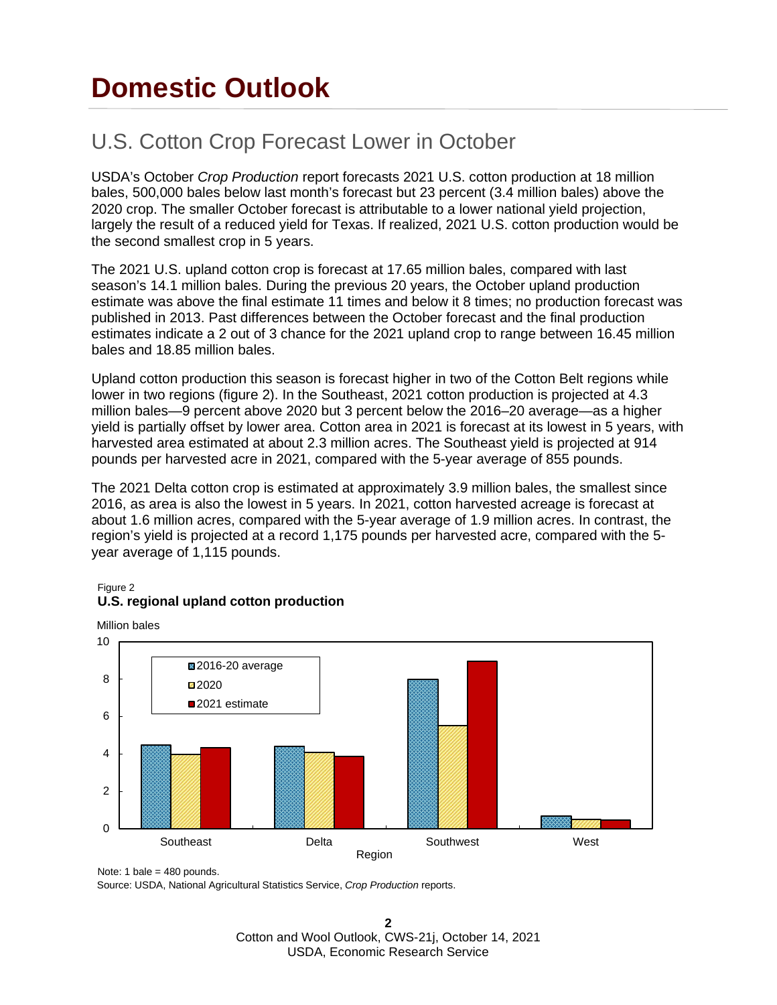## **Domestic Outlook**

## U.S. Cotton Crop Forecast Lower in October

USDA's October *Crop Production* report forecasts 2021 U.S. cotton production at 18 million bales, 500,000 bales below last month's forecast but 23 percent (3.4 million bales) above the 2020 crop. The smaller October forecast is attributable to a lower national yield projection, largely the result of a reduced yield for Texas. If realized, 2021 U.S. cotton production would be the second smallest crop in 5 years.

The 2021 U.S. upland cotton crop is forecast at 17.65 million bales, compared with last season's 14.1 million bales. During the previous 20 years, the October upland production estimate was above the final estimate 11 times and below it 8 times; no production forecast was published in 2013. Past differences between the October forecast and the final production estimates indicate a 2 out of 3 chance for the 2021 upland crop to range between 16.45 million bales and 18.85 million bales.

Upland cotton production this season is forecast higher in two of the Cotton Belt regions while lower in two regions (figure 2). In the Southeast, 2021 cotton production is projected at 4.3 million bales—9 percent above 2020 but 3 percent below the 2016–20 average—as a higher yield is partially offset by lower area. Cotton area in 2021 is forecast at its lowest in 5 years, with harvested area estimated at about 2.3 million acres. The Southeast yield is projected at 914 pounds per harvested acre in 2021, compared with the 5-year average of 855 pounds.

The 2021 Delta cotton crop is estimated at approximately 3.9 million bales, the smallest since 2016, as area is also the lowest in 5 years. In 2021, cotton harvested acreage is forecast at about 1.6 million acres, compared with the 5-year average of 1.9 million acres. In contrast, the region's yield is projected at a record 1,175 pounds per harvested acre, compared with the 5 year average of 1,115 pounds.

#### Figure 2 **U.S. regional upland cotton production**

Million bales



Note: 1 bale =  $480$  pounds.

Source: USDA, National Agricultural Statistics Service, *Crop Production* reports.

**2** Cotton and Wool Outlook, CWS-21j, October 14, 2021 USDA, Economic Research Service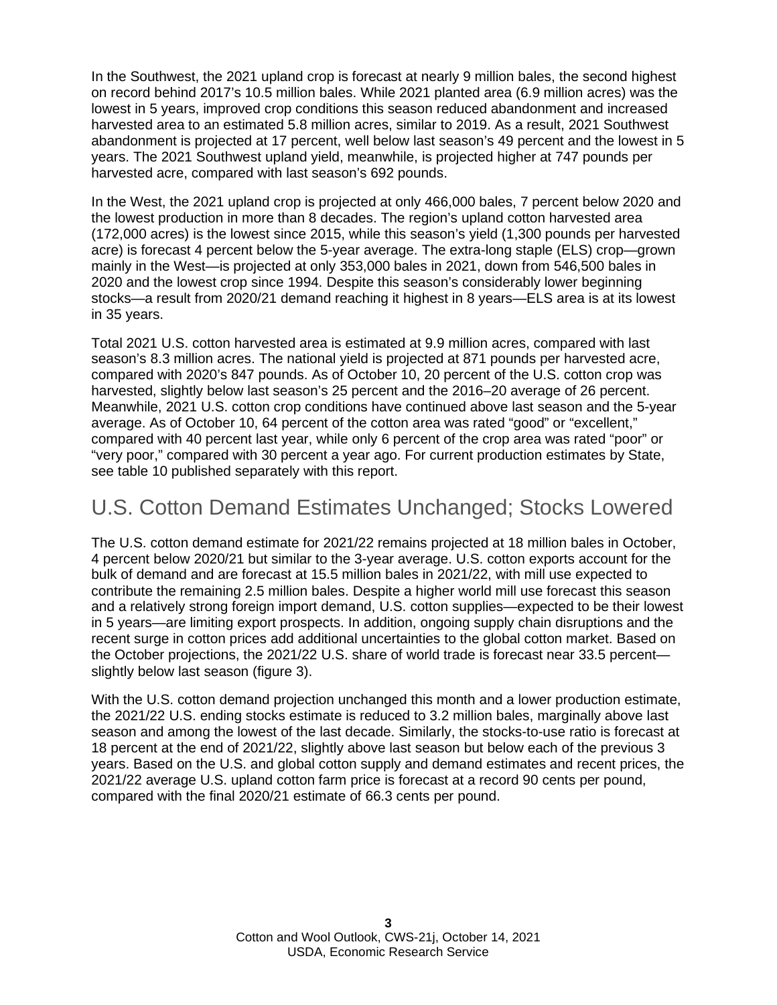In the Southwest, the 2021 upland crop is forecast at nearly 9 million bales, the second highest on record behind 2017's 10.5 million bales. While 2021 planted area (6.9 million acres) was the lowest in 5 years, improved crop conditions this season reduced abandonment and increased harvested area to an estimated 5.8 million acres, similar to 2019. As a result, 2021 Southwest abandonment is projected at 17 percent, well below last season's 49 percent and the lowest in 5 years. The 2021 Southwest upland yield, meanwhile, is projected higher at 747 pounds per harvested acre, compared with last season's 692 pounds.

In the West, the 2021 upland crop is projected at only 466,000 bales, 7 percent below 2020 and the lowest production in more than 8 decades. The region's upland cotton harvested area (172,000 acres) is the lowest since 2015, while this season's yield (1,300 pounds per harvested acre) is forecast 4 percent below the 5-year average. The extra-long staple (ELS) crop—grown mainly in the West—is projected at only 353,000 bales in 2021, down from 546,500 bales in 2020 and the lowest crop since 1994. Despite this season's considerably lower beginning stocks—a result from 2020/21 demand reaching it highest in 8 years—ELS area is at its lowest in 35 years.

Total 2021 U.S. cotton harvested area is estimated at 9.9 million acres, compared with last season's 8.3 million acres. The national yield is projected at 871 pounds per harvested acre, compared with 2020's 847 pounds. As of October 10, 20 percent of the U.S. cotton crop was harvested, slightly below last season's 25 percent and the 2016–20 average of 26 percent. Meanwhile, 2021 U.S. cotton crop conditions have continued above last season and the 5-year average. As of October 10, 64 percent of the cotton area was rated "good" or "excellent," compared with 40 percent last year, while only 6 percent of the crop area was rated "poor" or "very poor," compared with 30 percent a year ago. For current production estimates by State, see table 10 published separately with this report.

## U.S. Cotton Demand Estimates Unchanged; Stocks Lowered

The U.S. cotton demand estimate for 2021/22 remains projected at 18 million bales in October, 4 percent below 2020/21 but similar to the 3-year average. U.S. cotton exports account for the bulk of demand and are forecast at 15.5 million bales in 2021/22, with mill use expected to contribute the remaining 2.5 million bales. Despite a higher world mill use forecast this season and a relatively strong foreign import demand, U.S. cotton supplies—expected to be their lowest in 5 years—are limiting export prospects. In addition, ongoing supply chain disruptions and the recent surge in cotton prices add additional uncertainties to the global cotton market. Based on the October projections, the 2021/22 U.S. share of world trade is forecast near 33.5 percent slightly below last season (figure 3).

With the U.S. cotton demand projection unchanged this month and a lower production estimate. the 2021/22 U.S. ending stocks estimate is reduced to 3.2 million bales, marginally above last season and among the lowest of the last decade. Similarly, the stocks-to-use ratio is forecast at 18 percent at the end of 2021/22, slightly above last season but below each of the previous 3 years. Based on the U.S. and global cotton supply and demand estimates and recent prices, the 2021/22 average U.S. upland cotton farm price is forecast at a record 90 cents per pound, compared with the final 2020/21 estimate of 66.3 cents per pound.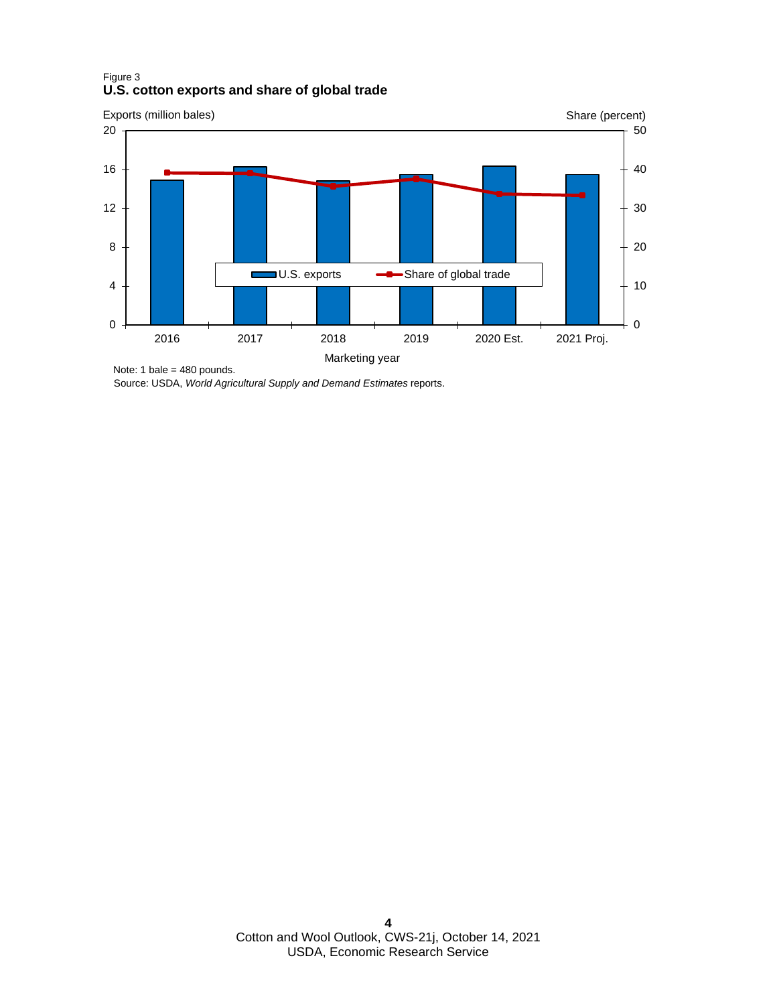#### Figure 3 **U.S. cotton exports and share of global trade**



Note: 1 bale = 480 pounds.

Source: USDA, *World Agricultural Supply and Demand Estimates* reports.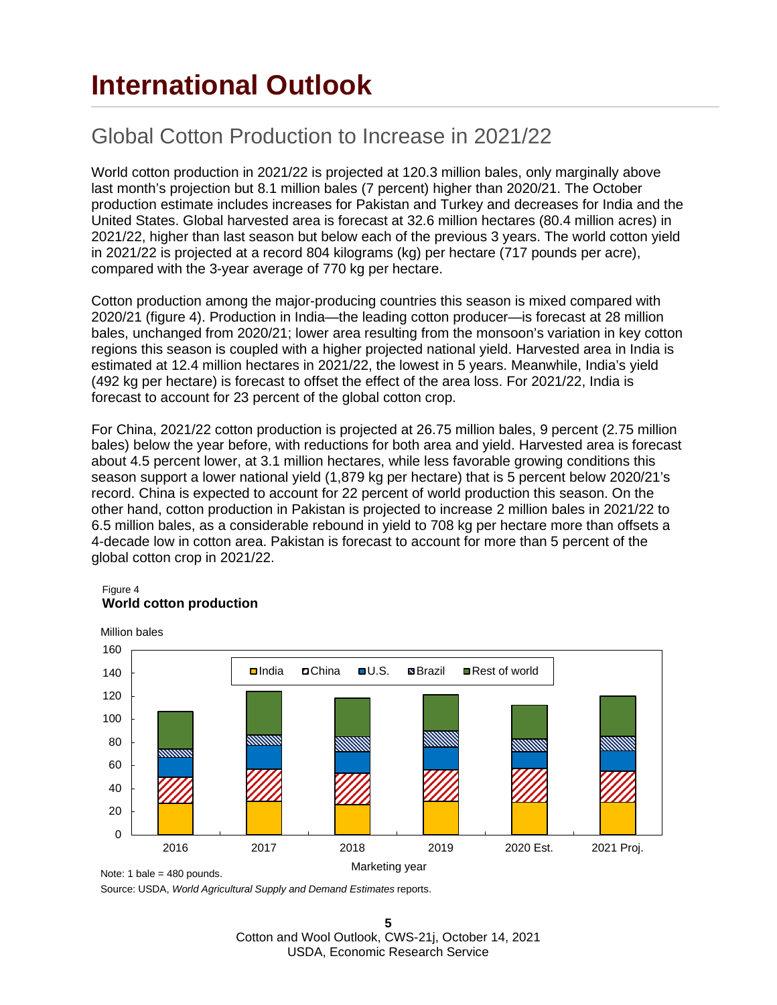## **International Outlook**

## Global Cotton Production to Increase in 2021/22

World cotton production in 2021/22 is projected at 120.3 million bales, only marginally above last month's projection but 8.1 million bales (7 percent) higher than 2020/21. The October production estimate includes increases for Pakistan and Turkey and decreases for India and the United States. Global harvested area is forecast at 32.6 million hectares (80.4 million acres) in 2021/22, higher than last season but below each of the previous 3 years. The world cotton yield in 2021/22 is projected at a record 804 kilograms (kg) per hectare (717 pounds per acre), compared with the 3-year average of 770 kg per hectare.

Cotton production among the major-producing countries this season is mixed compared with 2020/21 (figure 4). Production in India—the leading cotton producer—is forecast at 28 million bales, unchanged from 2020/21; lower area resulting from the monsoon's variation in key cotton regions this season is coupled with a higher projected national yield. Harvested area in India is estimated at 12.4 million hectares in 2021/22, the lowest in 5 years. Meanwhile, India's yield (492 kg per hectare) is forecast to offset the effect of the area loss. For 2021/22, India is forecast to account for 23 percent of the global cotton crop.

For China, 2021/22 cotton production is projected at 26.75 million bales, 9 percent (2.75 million bales) below the year before, with reductions for both area and yield. Harvested area is forecast about 4.5 percent lower, at 3.1 million hectares, while less favorable growing conditions this season support a lower national yield (1,879 kg per hectare) that is 5 percent below 2020/21's record. China is expected to account for 22 percent of world production this season. On the other hand, cotton production in Pakistan is projected to increase 2 million bales in 2021/22 to 6.5 million bales, as a considerable rebound in yield to 708 kg per hectare more than offsets a 4-decade low in cotton area. Pakistan is forecast to account for more than 5 percent of the global cotton crop in 2021/22.

#### Figure 4 **World cotton production**



Source: USDA, *World Agricultural Supply and Demand Estimates* reports.

**5** Cotton and Wool Outlook, CWS-21j, October 14, 2021 USDA, Economic Research Service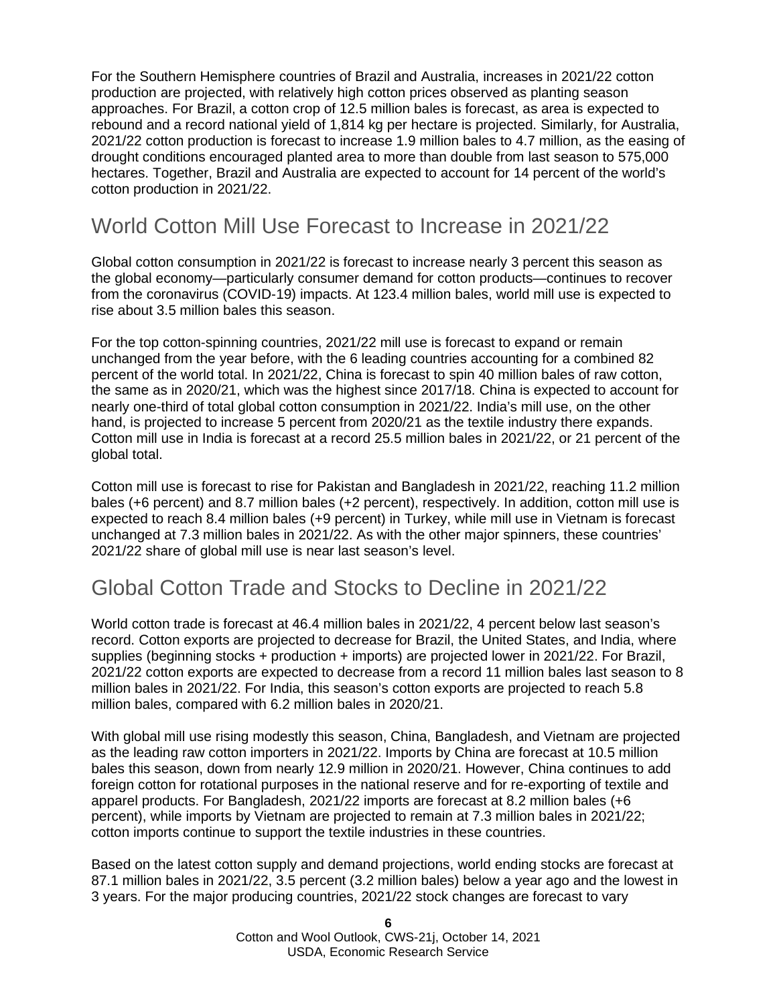For the Southern Hemisphere countries of Brazil and Australia, increases in 2021/22 cotton production are projected, with relatively high cotton prices observed as planting season approaches. For Brazil, a cotton crop of 12.5 million bales is forecast, as area is expected to rebound and a record national yield of 1,814 kg per hectare is projected. Similarly, for Australia, 2021/22 cotton production is forecast to increase 1.9 million bales to 4.7 million, as the easing of drought conditions encouraged planted area to more than double from last season to 575,000 hectares. Together, Brazil and Australia are expected to account for 14 percent of the world's cotton production in 2021/22.

### World Cotton Mill Use Forecast to Increase in 2021/22

Global cotton consumption in 2021/22 is forecast to increase nearly 3 percent this season as the global economy—particularly consumer demand for cotton products—continues to recover from the coronavirus (COVID-19) impacts. At 123.4 million bales, world mill use is expected to rise about 3.5 million bales this season.

For the top cotton-spinning countries, 2021/22 mill use is forecast to expand or remain unchanged from the year before, with the 6 leading countries accounting for a combined 82 percent of the world total. In 2021/22, China is forecast to spin 40 million bales of raw cotton, the same as in 2020/21, which was the highest since 2017/18. China is expected to account for nearly one-third of total global cotton consumption in 2021/22. India's mill use, on the other hand, is projected to increase 5 percent from 2020/21 as the textile industry there expands. Cotton mill use in India is forecast at a record 25.5 million bales in 2021/22, or 21 percent of the global total.

Cotton mill use is forecast to rise for Pakistan and Bangladesh in 2021/22, reaching 11.2 million bales (+6 percent) and 8.7 million bales (+2 percent), respectively. In addition, cotton mill use is expected to reach 8.4 million bales (+9 percent) in Turkey, while mill use in Vietnam is forecast unchanged at 7.3 million bales in 2021/22. As with the other major spinners, these countries' 2021/22 share of global mill use is near last season's level.

### Global Cotton Trade and Stocks to Decline in 2021/22

World cotton trade is forecast at 46.4 million bales in 2021/22, 4 percent below last season's record. Cotton exports are projected to decrease for Brazil, the United States, and India, where supplies (beginning stocks + production + imports) are projected lower in 2021/22. For Brazil, 2021/22 cotton exports are expected to decrease from a record 11 million bales last season to 8 million bales in 2021/22. For India, this season's cotton exports are projected to reach 5.8 million bales, compared with 6.2 million bales in 2020/21.

With global mill use rising modestly this season, China, Bangladesh, and Vietnam are projected as the leading raw cotton importers in 2021/22. Imports by China are forecast at 10.5 million bales this season, down from nearly 12.9 million in 2020/21. However, China continues to add foreign cotton for rotational purposes in the national reserve and for re-exporting of textile and apparel products. For Bangladesh, 2021/22 imports are forecast at 8.2 million bales (+6 percent), while imports by Vietnam are projected to remain at 7.3 million bales in 2021/22; cotton imports continue to support the textile industries in these countries.

Based on the latest cotton supply and demand projections, world ending stocks are forecast at 87.1 million bales in 2021/22, 3.5 percent (3.2 million bales) below a year ago and the lowest in 3 years. For the major producing countries, 2021/22 stock changes are forecast to vary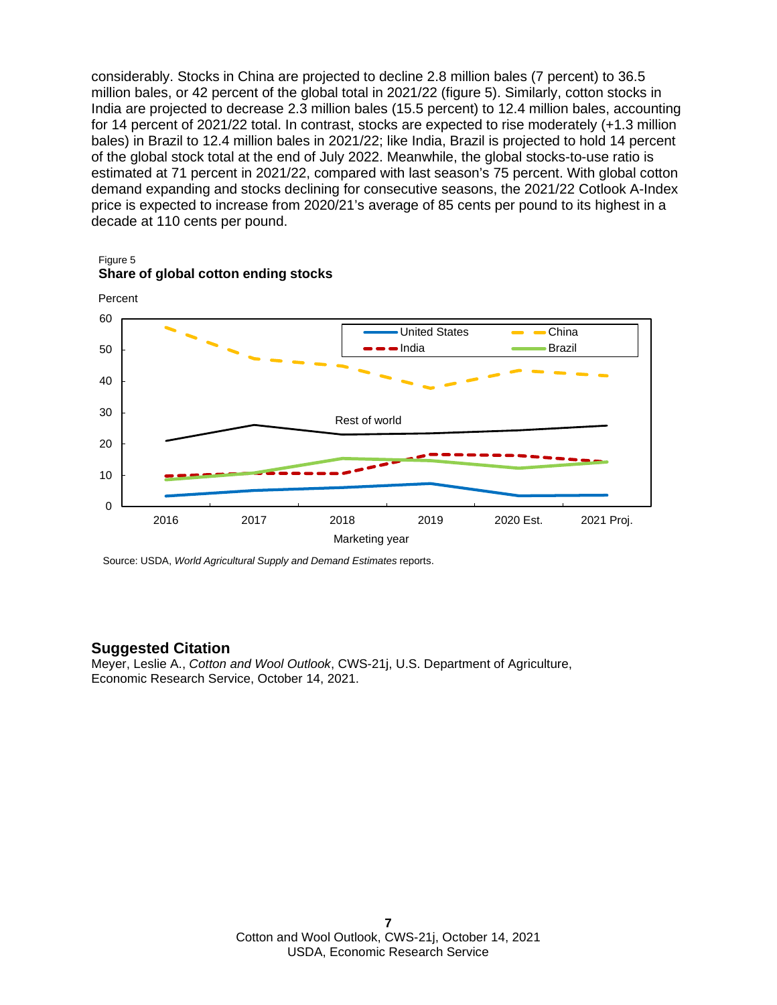considerably. Stocks in China are projected to decline 2.8 million bales (7 percent) to 36.5 million bales, or 42 percent of the global total in 2021/22 (figure 5). Similarly, cotton stocks in India are projected to decrease 2.3 million bales (15.5 percent) to 12.4 million bales, accounting for 14 percent of 2021/22 total. In contrast, stocks are expected to rise moderately (+1.3 million bales) in Brazil to 12.4 million bales in 2021/22; like India, Brazil is projected to hold 14 percent of the global stock total at the end of July 2022. Meanwhile, the global stocks-to-use ratio is estimated at 71 percent in 2021/22, compared with last season's 75 percent. With global cotton demand expanding and stocks declining for consecutive seasons, the 2021/22 Cotlook A-Index price is expected to increase from 2020/21's average of 85 cents per pound to its highest in a decade at 110 cents per pound.



#### Figure 5 **Share of global cotton ending stocks**

Source: USDA, *World Agricultural Supply and Demand Estimates* reports.

#### **Suggested Citation**

Meyer, Leslie A., *Cotton and Wool Outlook*, CWS-21j, U.S. Department of Agriculture, Economic Research Service, October 14, 2021.